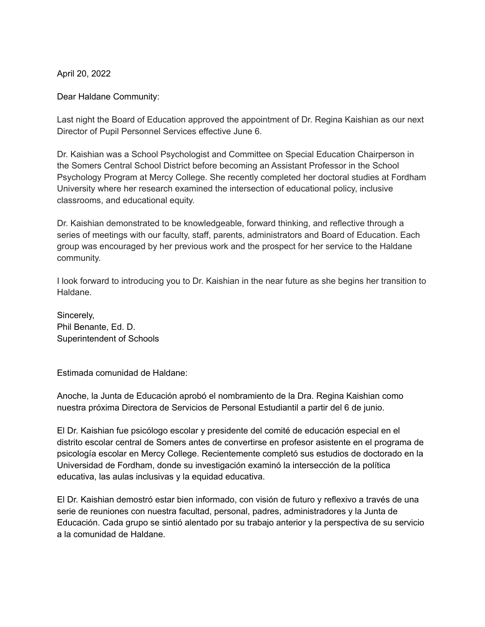April 20, 2022

Dear Haldane Community:

Last night the Board of Education approved the appointment of Dr. Regina Kaishian as our next Director of Pupil Personnel Services effective June 6.

Dr. Kaishian was a School Psychologist and Committee on Special Education Chairperson in the Somers Central School District before becoming an Assistant Professor in the School Psychology Program at Mercy College. She recently completed her doctoral studies at Fordham University where her research examined the intersection of educational policy, inclusive classrooms, and educational equity.

Dr. Kaishian demonstrated to be knowledgeable, forward thinking, and reflective through a series of meetings with our faculty, staff, parents, administrators and Board of Education. Each group was encouraged by her previous work and the prospect for her service to the Haldane community.

I look forward to introducing you to Dr. Kaishian in the near future as she begins her transition to Haldane.

Sincerely, Phil Benante, Ed. D. Superintendent of Schools

Estimada comunidad de Haldane:

Anoche, la Junta de Educación aprobó el nombramiento de la Dra. Regina Kaishian como nuestra próxima Directora de Servicios de Personal Estudiantil a partir del 6 de junio.

El Dr. Kaishian fue psicólogo escolar y presidente del comité de educación especial en el distrito escolar central de Somers antes de convertirse en profesor asistente en el programa de psicología escolar en Mercy College. Recientemente completó sus estudios de doctorado en la Universidad de Fordham, donde su investigación examinó la intersección de la política educativa, las aulas inclusivas y la equidad educativa.

El Dr. Kaishian demostró estar bien informado, con visión de futuro y reflexivo a través de una serie de reuniones con nuestra facultad, personal, padres, administradores y la Junta de Educación. Cada grupo se sintió alentado por su trabajo anterior y la perspectiva de su servicio a la comunidad de Haldane.